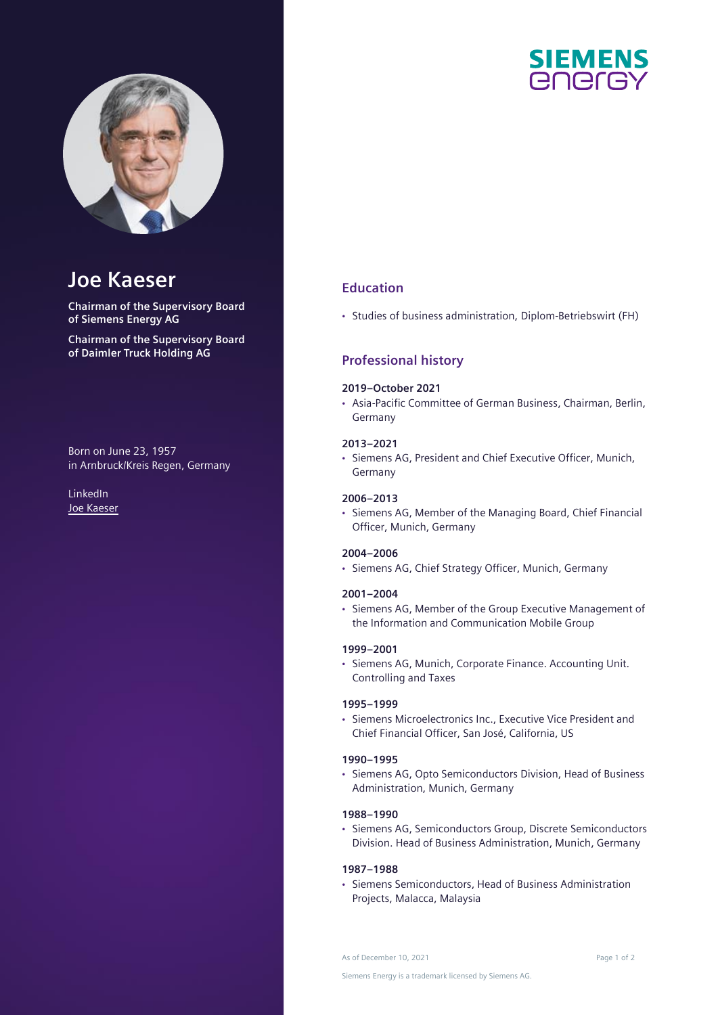

# **Joe Kaeser**

**Chairman of the Supervisory Board of Siemens Energy AG**

**Chairman of the Supervisory Board of Daimler Truck Holding AG**

Born on June 23, 1957 in Arnbruck/Kreis Regen, Germany

LinkedIn [Joe Kaeser](https://de.linkedin.com/in/joe-kaeser)



## **Education**

• Studies of business administration, Diplom-Betriebswirt (FH)

## **Professional history**

#### **2019–October 2021**

• Asia-Pacific Committee of German Business, Chairman, Berlin, Germany

#### **2013–2021**

• Siemens AG, President and Chief Executive Officer, Munich, Germany

#### **2006–2013**

• Siemens AG, Member of the Managing Board, Chief Financial Officer, Munich, Germany

#### **2004–2006**

• Siemens AG, Chief Strategy Officer, Munich, Germany

#### **2001–2004**

• Siemens AG, Member of the Group Executive Management of the Information and Communication Mobile Group

#### **1999–2001**

• Siemens AG, Munich, Corporate Finance. Accounting Unit. Controlling and Taxes

#### **1995–1999**

• Siemens Microelectronics Inc., Executive Vice President and Chief Financial Officer, San José, California, US

#### **1990–1995**

• Siemens AG, Opto Semiconductors Division, Head of Business Administration, Munich, Germany

### **1988–1990**

• Siemens AG, Semiconductors Group, Discrete Semiconductors Division. Head of Business Administration, Munich, Germany

#### **1987–1988**

• Siemens Semiconductors, Head of Business Administration Projects, Malacca, Malaysia

As of December 10, 2021 and 2008 and 2009 and 2010 and 2010 and 2010 and 2010 and 2010 and 2010 and 2010 and 20

Siemens Energy is a trademark licensed by Siemens AG.